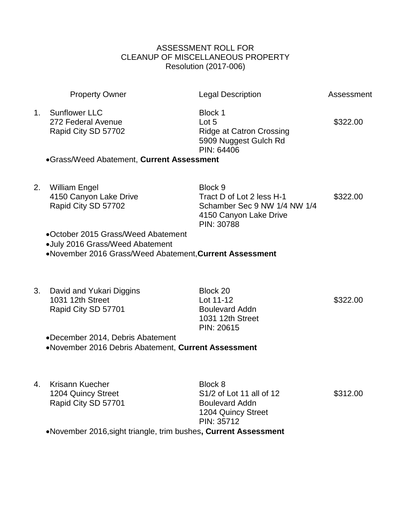## ASSESSMENT ROLL FOR CLEANUP OF MISCELLANEOUS PROPERTY Resolution (2017-006)

|    | <b>Property Owner</b>                                                                                                            | <b>Legal Description</b>                                                                                     | Assessment |  |
|----|----------------------------------------------------------------------------------------------------------------------------------|--------------------------------------------------------------------------------------------------------------|------------|--|
| 1. | <b>Sunflower LLC</b><br>272 Federal Avenue<br>Rapid City SD 57702                                                                | Block 1<br>Lot 5<br><b>Ridge at Catron Crossing</b><br>5909 Nuggest Gulch Rd<br>PIN: 64406                   | \$322.00   |  |
|    | •Grass/Weed Abatement, Current Assessment                                                                                        |                                                                                                              |            |  |
| 2. | <b>William Engel</b><br>4150 Canyon Lake Drive<br>Rapid City SD 57702                                                            | Block 9<br>Tract D of Lot 2 less H-1<br>Schamber Sec 9 NW 1/4 NW 1/4<br>4150 Canyon Lake Drive<br>PIN: 30788 | \$322.00   |  |
|    | •October 2015 Grass/Weed Abatement<br>•July 2016 Grass/Weed Abatement<br>•November 2016 Grass/Weed Abatement, Current Assessment |                                                                                                              |            |  |
| 3. | David and Yukari Diggins<br>1031 12th Street<br>Rapid City SD 57701                                                              | Block 20<br>Lot 11-12<br><b>Boulevard Addn</b><br>1031 12th Street<br>PIN: 20615                             | \$322.00   |  |
|    | •December 2014, Debris Abatement<br>•November 2016 Debris Abatement, Current Assessment                                          |                                                                                                              |            |  |
| 4. | Krisann Kuecher<br>1204 Quincy Street<br>Rapid City SD 57701                                                                     | Block 8<br>S1/2 of Lot 11 all of 12<br><b>Boulevard Addn</b><br>1204 Quincy Street<br>PIN: 35712             | \$312.00   |  |
|    | •November 2016, sight triangle, trim bushes, Current Assessment                                                                  |                                                                                                              |            |  |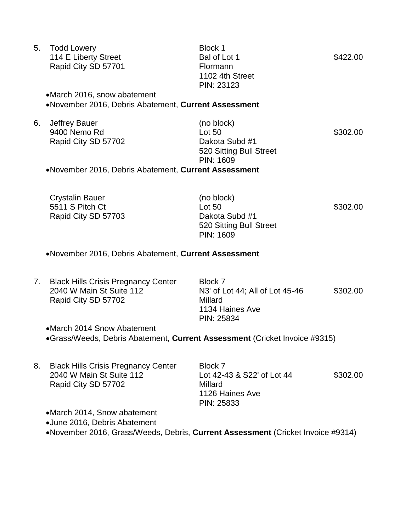| 5. | <b>Todd Lowery</b>                                   | Block 1                 |          |
|----|------------------------------------------------------|-------------------------|----------|
|    | 114 E Liberty Street                                 | Bal of Lot 1            | \$422.00 |
|    | Rapid City SD 57701                                  | Flormann                |          |
|    |                                                      | 1102 4th Street         |          |
|    |                                                      | PIN: 23123              |          |
|    | •March 2016, snow abatement                          |                         |          |
|    | •November 2016, Debris Abatement, Current Assessment |                         |          |
| 6. | <b>Jeffrey Bauer</b>                                 | (no block)              |          |
|    | 9400 Nemo Rd                                         | Lot 50                  | \$302.00 |
|    | Rapid City SD 57702                                  | Dakota Subd #1          |          |
|    |                                                      | 520 Sitting Bull Street |          |
|    |                                                      | PIN: 1609               |          |
|    | •November 2016, Debris Abatement, Current Assessment |                         |          |
|    |                                                      |                         |          |
|    |                                                      |                         |          |

Crystalin Bauer (no block) 5511 S Pitch Ct **Lot 50 CONTEX LOT S302.00** Rapid City SD 57703 Dakota Subd #1 520 Sitting Bull Street PIN: 1609

November 2016, Debris Abatement, **Current Assessment**

7. Black Hills Crisis Pregnancy Center Block 7 Rapid City SD 57702 Millard

2040 W Main St Suite 112 N3' of Lot 44; All of Lot 45-46 \$302.00 1134 Haines Ave PIN: 25834

March 2014 Snow Abatement Grass/Weeds, Debris Abatement, **Current Assessment** (Cricket Invoice #9315)

| 8. | <b>Black Hills Crisis Pregnancy Center</b> | Block 7                    |          |
|----|--------------------------------------------|----------------------------|----------|
|    | 2040 W Main St Suite 112                   | Lot 42-43 & S22' of Lot 44 | \$302.00 |
|    | Rapid City SD 57702                        | Millard                    |          |
|    |                                            | 1126 Haines Ave            |          |
|    |                                            | PIN: 25833                 |          |
|    | •March 2014, Snow abatement                |                            |          |

June 2016, Debris Abatement

November 2016, Grass/Weeds, Debris, **Current Assessment** (Cricket Invoice #9314)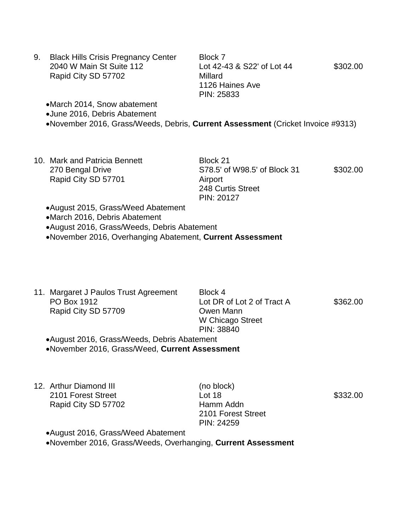| 9. | <b>Black Hills Crisis Pregnancy Center</b> | Block 7                    |          |
|----|--------------------------------------------|----------------------------|----------|
|    | 2040 W Main St Suite 112                   | Lot 42-43 & S22' of Lot 44 | \$302.00 |
|    | Rapid City SD 57702                        | Millard                    |          |
|    |                                            | 1126 Haines Ave            |          |
|    |                                            | PIN: 25833                 |          |
|    | •March 2014, Snow abatement                |                            |          |

June 2016, Debris Abatement

November 2016, Grass/Weeds, Debris, **Current Assessment** (Cricket Invoice #9313)

10. Mark and Patricia Bennett Block 21 Rapid City SD 57701 Airport

270 Bengal Drive S78.5' of W98.5' of Block 31 \$302.00 248 Curtis Street PIN: 20127

August 2015, Grass/Weed Abatement

March 2016, Debris Abatement

August 2016, Grass/Weeds, Debris Abatement

November 2016, Overhanging Abatement, **Current Assessment**

- 11. Margaret J Paulos Trust Agreement Block 4 PO Box 1912 Lot DR of Lot 2 of Tract A \$362.00 Rapid City SD 57709 Owen Mann W Chicago Street PIN: 38840 August 2016, Grass/Weeds, Debris Abatement November 2016, Grass/Weed, **Current Assessment**
- 12. Arthur Diamond III (no block) 2101 Forest Street **Lot 18 Lot 18 10 1210 1210 1332.00** Rapid City SD 57702 Hamm Addn

2101 Forest Street PIN: 24259

August 2016, Grass/Weed Abatement

November 2016, Grass/Weeds, Overhanging, **Current Assessment**